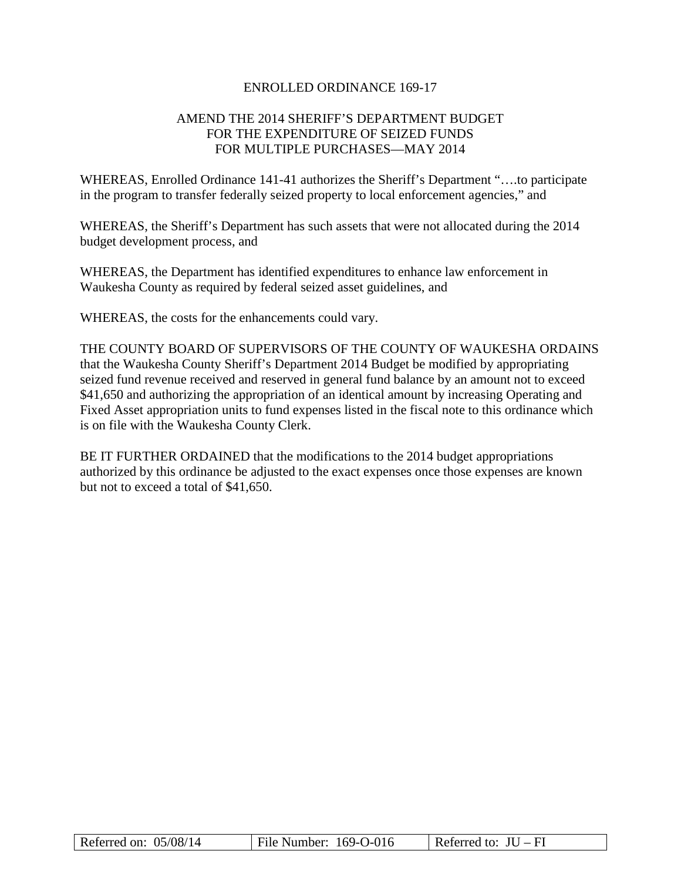### ENROLLED ORDINANCE 169-17

## AMEND THE 2014 SHERIFF'S DEPARTMENT BUDGET FOR THE EXPENDITURE OF SEIZED FUNDS FOR MULTIPLE PURCHASES—MAY 2014

WHEREAS, Enrolled Ordinance 141-41 authorizes the Sheriff's Department "….to participate in the program to transfer federally seized property to local enforcement agencies," and

WHEREAS, the Sheriff's Department has such assets that were not allocated during the 2014 budget development process, and

WHEREAS, the Department has identified expenditures to enhance law enforcement in Waukesha County as required by federal seized asset guidelines, and

WHEREAS, the costs for the enhancements could vary.

THE COUNTY BOARD OF SUPERVISORS OF THE COUNTY OF WAUKESHA ORDAINS that the Waukesha County Sheriff's Department 2014 Budget be modified by appropriating seized fund revenue received and reserved in general fund balance by an amount not to exceed \$41,650 and authorizing the appropriation of an identical amount by increasing Operating and Fixed Asset appropriation units to fund expenses listed in the fiscal note to this ordinance which is on file with the Waukesha County Clerk.

BE IT FURTHER ORDAINED that the modifications to the 2014 budget appropriations authorized by this ordinance be adjusted to the exact expenses once those expenses are known but not to exceed a total of \$41,650.

| Referred on: $05/08/14$ | File Number: 169-O-016 | Referred to: $JU - FI$ |
|-------------------------|------------------------|------------------------|
|-------------------------|------------------------|------------------------|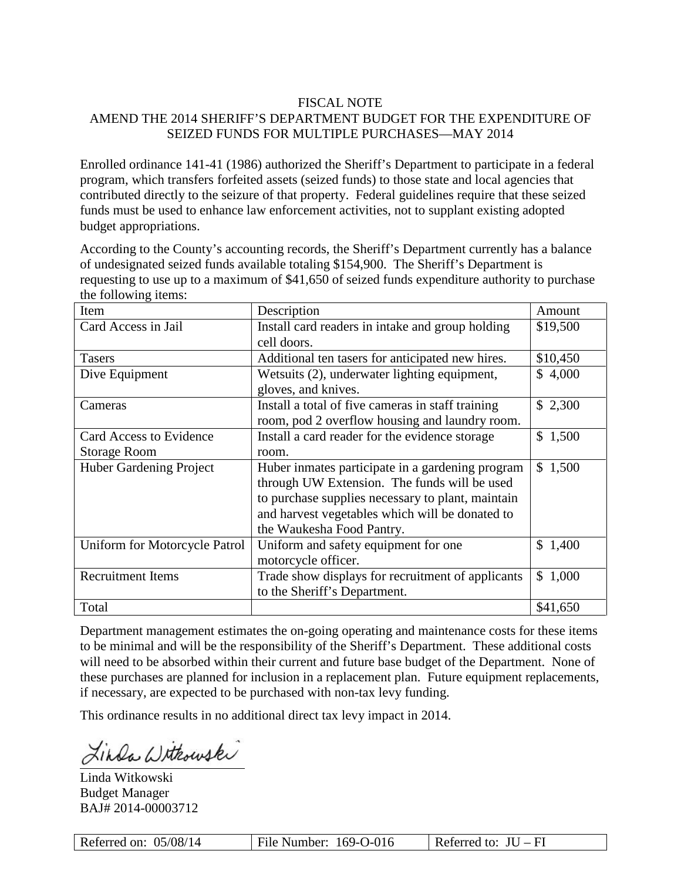## FISCAL NOTE

# AMEND THE 2014 SHERIFF'S DEPARTMENT BUDGET FOR THE EXPENDITURE OF SEIZED FUNDS FOR MULTIPLE PURCHASES—MAY 2014

Enrolled ordinance 141-41 (1986) authorized the Sheriff's Department to participate in a federal program, which transfers forfeited assets (seized funds) to those state and local agencies that contributed directly to the seizure of that property. Federal guidelines require that these seized funds must be used to enhance law enforcement activities, not to supplant existing adopted budget appropriations.

According to the County's accounting records, the Sheriff's Department currently has a balance of undesignated seized funds available totaling \$154,900. The Sheriff's Department is requesting to use up to a maximum of \$41,650 of seized funds expenditure authority to purchase the following items:

| Item                           | Description                                       | Amount                |
|--------------------------------|---------------------------------------------------|-----------------------|
| Card Access in Jail            | Install card readers in intake and group holding  | \$19,500              |
|                                | cell doors.                                       |                       |
| <b>Tasers</b>                  | Additional ten tasers for anticipated new hires.  | \$10,450              |
| Dive Equipment                 | Wetsuits (2), underwater lighting equipment,      | \$4,000               |
|                                | gloves, and knives.                               |                       |
| Cameras                        | Install a total of five cameras in staff training | \$2,300               |
|                                | room, pod 2 overflow housing and laundry room.    |                       |
| Card Access to Evidence        | Install a card reader for the evidence storage    | $\mathbb{S}$<br>1,500 |
| <b>Storage Room</b>            | room.                                             |                       |
| <b>Huber Gardening Project</b> | Huber inmates participate in a gardening program  | \$1,500               |
|                                | through UW Extension. The funds will be used      |                       |
|                                | to purchase supplies necessary to plant, maintain |                       |
|                                | and harvest vegetables which will be donated to   |                       |
|                                | the Waukesha Food Pantry.                         |                       |
| Uniform for Motorcycle Patrol  | Uniform and safety equipment for one              | \$1,400               |
|                                | motorcycle officer.                               |                       |
| <b>Recruitment Items</b>       | Trade show displays for recruitment of applicants | 1,000<br>$\mathbb{S}$ |
|                                | to the Sheriff's Department.                      |                       |
| Total                          |                                                   | \$41,650              |

Department management estimates the on-going operating and maintenance costs for these items to be minimal and will be the responsibility of the Sheriff's Department. These additional costs will need to be absorbed within their current and future base budget of the Department. None of these purchases are planned for inclusion in a replacement plan. Future equipment replacements, if necessary, are expected to be purchased with non-tax levy funding.

This ordinance results in no additional direct tax levy impact in 2014.

inda Withouski

Linda Witkowski Budget Manager BAJ# 2014-00003712

| Referred on: 05/08/14 | File Number: $169-0-016$ | Referred to: $JU - FI$ |
|-----------------------|--------------------------|------------------------|
|-----------------------|--------------------------|------------------------|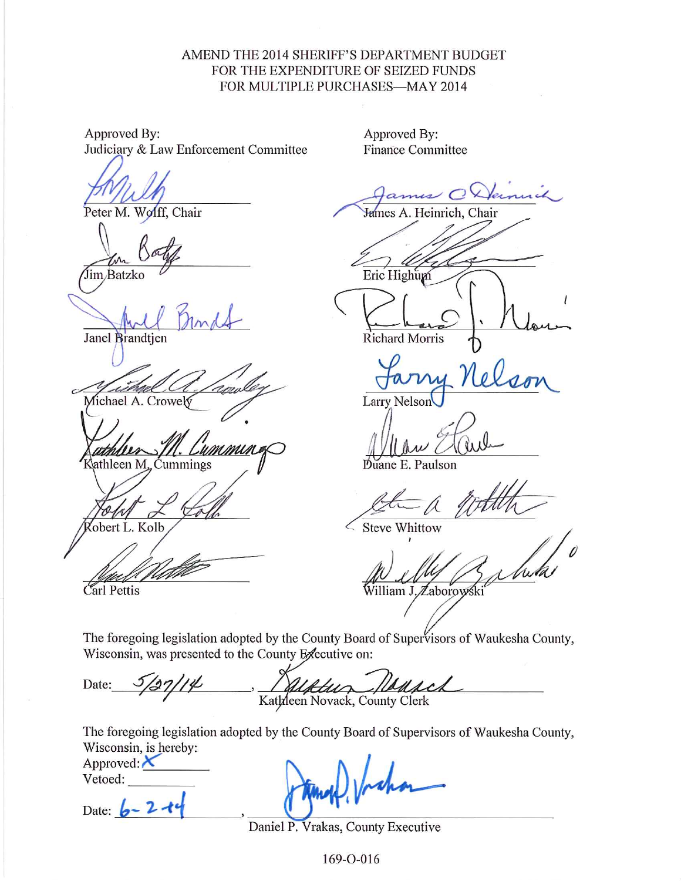## AMEND THE 2014 SHERIFF'S DEPARTMENT BUDGET FOR THE EXPENDITURE OF SEIZED FUNDS FOR MULTIPLE PURCHASES-MAY 2014

Approved By: Judiciary & Law Enforcement Committee

Peter M. Wolff, Chair

Jim/Batzko

Janel Brandtien

Michael A. Crowely

Kathleen M. Cummings

obert L. Kolb

**Finance Committee** 

Approved By:

James A. Heinrich, Chair

Eric Highum

Richard Morris

**Larry Nelson** 

uane E. Paulson

**Steve Whittow** 

William J. Zaborowski

Carl Pettis

The foregoing legislation adopted by the County Board of Supervisors of Waukesha County, Wisconsin, was presented to the County Executive on:

Date: Kathleen Novack, County Clerk

The foregoing legislation adopted by the County Board of Supervisors of Waukesha County, Wisconsin, is hereby:

Approved:  $\chi$ 

Vetoed:

Date:  $6 - 2$ 

Daniel P. Vrakas, County Executive

169-0-016